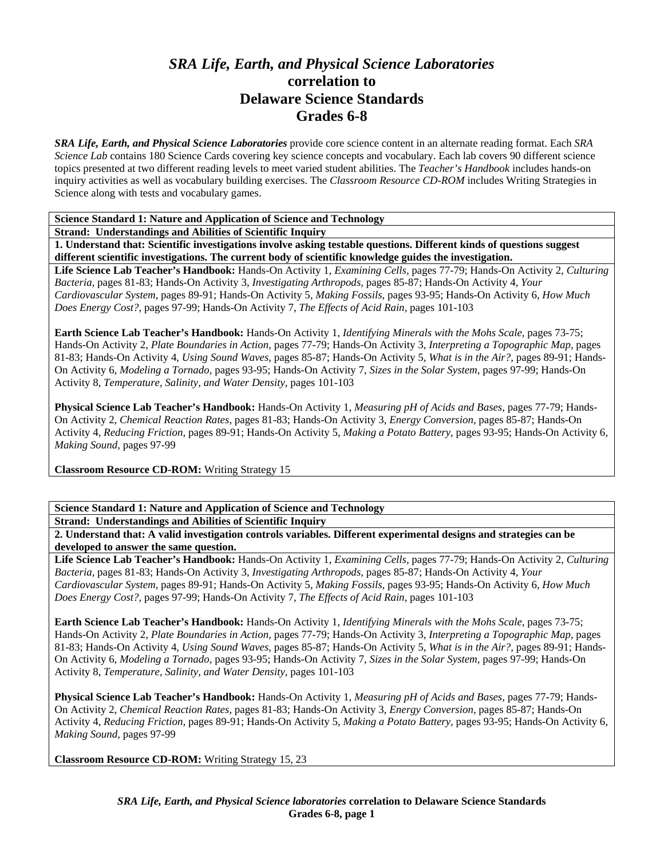## *SRA Life, Earth, and Physical Science Laboratories*  **correlation to Delaware Science Standards Grades 6-8**

*SRA Life, Earth, and Physical Science Laboratories* provide core science content in an alternate reading format. Each *SRA Science Lab* contains 180 Science Cards covering key science concepts and vocabulary. Each lab covers 90 different science topics presented at two different reading levels to meet varied student abilities. The *Teacher's Handbook* includes hands-on inquiry activities as well as vocabulary building exercises. The *Classroom Resource CD-ROM* includes Writing Strategies in Science along with tests and vocabulary games.

**Science Standard 1: Nature and Application of Science and Technology** 

**Strand: Understandings and Abilities of Scientific Inquiry** 

**1. Understand that: Scientific investigations involve asking testable questions. Different kinds of questions suggest different scientific investigations. The current body of scientific knowledge guides the investigation.** 

**Life Science Lab Teacher's Handbook:** Hands-On Activity 1, *Examining Cells,* pages 77-79; Hands-On Activity 2, *Culturing Bacteria,* pages 81-83; Hands-On Activity 3, *Investigating Arthropods,* pages 85-87; Hands-On Activity 4, *Your Cardiovascular System,* pages 89-91; Hands-On Activity 5, *Making Fossils,* pages 93-95; Hands-On Activity 6, *How Much Does Energy Cost?,* pages 97-99; Hands-On Activity 7, *The Effects of Acid Rain,* pages 101-103

**Earth Science Lab Teacher's Handbook:** Hands-On Activity 1, *Identifying Minerals with the Mohs Scale,* pages 73-75; Hands-On Activity 2, *Plate Boundaries in Action,* pages 77-79; Hands-On Activity 3, *Interpreting a Topographic Map,* pages 81-83; Hands-On Activity 4, *Using Sound Waves,* pages 85-87; Hands-On Activity 5, *What is in the Air?,* pages 89-91; Hands-On Activity 6, *Modeling a Tornado,* pages 93-95; Hands-On Activity 7, *Sizes in the Solar System,* pages 97-99; Hands-On Activity 8, *Temperature, Salinity, and Water Density,* pages 101-103

**Physical Science Lab Teacher's Handbook:** Hands-On Activity 1, *Measuring pH of Acids and Bases,* pages 77-79; Hands-On Activity 2, *Chemical Reaction Rates,* pages 81-83; Hands-On Activity 3, *Energy Conversion,* pages 85-87; Hands-On Activity 4, *Reducing Friction,* pages 89-91; Hands-On Activity 5, *Making a Potato Battery,* pages 93-95; Hands-On Activity 6, *Making Sound,* pages 97-99

**Classroom Resource CD-ROM:** Writing Strategy 15

## **Science Standard 1: Nature and Application of Science and Technology**

**Strand: Understandings and Abilities of Scientific Inquiry** 

**2. Understand that: A valid investigation controls variables. Different experimental designs and strategies can be developed to answer the same question.** 

**Life Science Lab Teacher's Handbook:** Hands-On Activity 1, *Examining Cells,* pages 77-79; Hands-On Activity 2, *Culturing Bacteria,* pages 81-83; Hands-On Activity 3, *Investigating Arthropods,* pages 85-87; Hands-On Activity 4, *Your Cardiovascular System,* pages 89-91; Hands-On Activity 5, *Making Fossils,* pages 93-95; Hands-On Activity 6, *How Much Does Energy Cost?,* pages 97-99; Hands-On Activity 7, *The Effects of Acid Rain,* pages 101-103

**Earth Science Lab Teacher's Handbook:** Hands-On Activity 1, *Identifying Minerals with the Mohs Scale,* pages 73-75; Hands-On Activity 2, *Plate Boundaries in Action,* pages 77-79; Hands-On Activity 3, *Interpreting a Topographic Map,* pages 81-83; Hands-On Activity 4, *Using Sound Waves,* pages 85-87; Hands-On Activity 5, *What is in the Air?,* pages 89-91; Hands-On Activity 6, *Modeling a Tornado,* pages 93-95; Hands-On Activity 7, *Sizes in the Solar System,* pages 97-99; Hands-On Activity 8, *Temperature, Salinity, and Water Density,* pages 101-103

**Physical Science Lab Teacher's Handbook:** Hands-On Activity 1, *Measuring pH of Acids and Bases,* pages 77-79; Hands-On Activity 2, *Chemical Reaction Rates,* pages 81-83; Hands-On Activity 3, *Energy Conversion,* pages 85-87; Hands-On Activity 4, *Reducing Friction,* pages 89-91; Hands-On Activity 5, *Making a Potato Battery,* pages 93-95; Hands-On Activity 6, *Making Sound,* pages 97-99

**Classroom Resource CD-ROM:** Writing Strategy 15, 23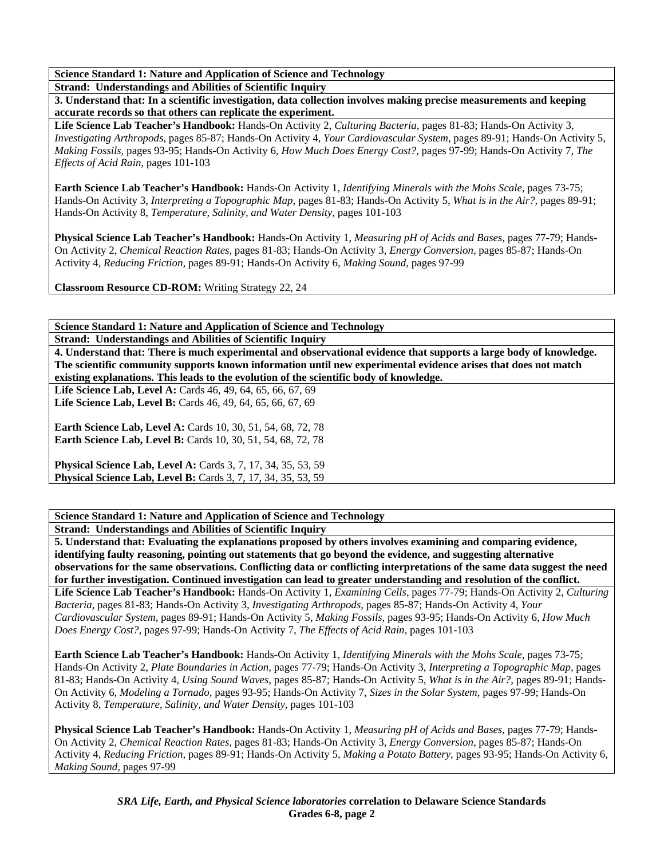**Science Standard 1: Nature and Application of Science and Technology** 

**Strand: Understandings and Abilities of Scientific Inquiry** 

**3. Understand that: In a scientific investigation, data collection involves making precise measurements and keeping accurate records so that others can replicate the experiment.** 

**Life Science Lab Teacher's Handbook:** Hands-On Activity 2, *Culturing Bacteria,* pages 81-83; Hands-On Activity 3, *Investigating Arthropods,* pages 85-87; Hands-On Activity 4, *Your Cardiovascular System,* pages 89-91; Hands-On Activity 5, *Making Fossils,* pages 93-95; Hands-On Activity 6, *How Much Does Energy Cost?,* pages 97-99; Hands-On Activity 7, *The Effects of Acid Rain,* pages 101-103

**Earth Science Lab Teacher's Handbook:** Hands-On Activity 1, *Identifying Minerals with the Mohs Scale,* pages 73-75; Hands-On Activity 3, *Interpreting a Topographic Map,* pages 81-83; Hands-On Activity 5, *What is in the Air?,* pages 89-91; Hands-On Activity 8, *Temperature, Salinity, and Water Density,* pages 101-103

**Physical Science Lab Teacher's Handbook:** Hands-On Activity 1, *Measuring pH of Acids and Bases,* pages 77-79; Hands-On Activity 2, *Chemical Reaction Rates,* pages 81-83; Hands-On Activity 3, *Energy Conversion,* pages 85-87; Hands-On Activity 4, *Reducing Friction,* pages 89-91; Hands-On Activity 6, *Making Sound,* pages 97-99

**Classroom Resource CD-ROM:** Writing Strategy 22, 24

**Science Standard 1: Nature and Application of Science and Technology** 

**Strand: Understandings and Abilities of Scientific Inquiry** 

**4. Understand that: There is much experimental and observational evidence that supports a large body of knowledge. The scientific community supports known information until new experimental evidence arises that does not match existing explanations. This leads to the evolution of the scientific body of knowledge.** 

**Life Science Lab, Level A:** Cards 46, 49, 64, 65, 66, 67, 69 **Life Science Lab, Level B:** Cards 46, 49, 64, 65, 66, 67, 69

**Earth Science Lab, Level A: Cards 10, 30, 51, 54, 68, 72, 78 Earth Science Lab, Level B:** Cards 10, 30, 51, 54, 68, 72, 78

**Physical Science Lab, Level A: Cards 3, 7, 17, 34, 35, 53, 59 Physical Science Lab, Level B:** Cards 3, 7, 17, 34, 35, 53, 59

**Science Standard 1: Nature and Application of Science and Technology** 

**Strand: Understandings and Abilities of Scientific Inquiry** 

**5. Understand that: Evaluating the explanations proposed by others involves examining and comparing evidence, identifying faulty reasoning, pointing out statements that go beyond the evidence, and suggesting alternative observations for the same observations. Conflicting data or conflicting interpretations of the same data suggest the need for further investigation. Continued investigation can lead to greater understanding and resolution of the conflict. Life Science Lab Teacher's Handbook:** Hands-On Activity 1, *Examining Cells,* pages 77-79; Hands-On Activity 2, *Culturing Bacteria,* pages 81-83; Hands-On Activity 3, *Investigating Arthropods,* pages 85-87; Hands-On Activity 4, *Your Cardiovascular System,* pages 89-91; Hands-On Activity 5, *Making Fossils,* pages 93-95; Hands-On Activity 6, *How Much Does Energy Cost?,* pages 97-99; Hands-On Activity 7, *The Effects of Acid Rain,* pages 101-103

**Earth Science Lab Teacher's Handbook:** Hands-On Activity 1, *Identifying Minerals with the Mohs Scale,* pages 73-75; Hands-On Activity 2, *Plate Boundaries in Action,* pages 77-79; Hands-On Activity 3, *Interpreting a Topographic Map,* pages 81-83; Hands-On Activity 4, *Using Sound Waves,* pages 85-87; Hands-On Activity 5, *What is in the Air?,* pages 89-91; Hands-On Activity 6, *Modeling a Tornado,* pages 93-95; Hands-On Activity 7, *Sizes in the Solar System,* pages 97-99; Hands-On Activity 8, *Temperature, Salinity, and Water Density,* pages 101-103

**Physical Science Lab Teacher's Handbook:** Hands-On Activity 1, *Measuring pH of Acids and Bases,* pages 77-79; Hands-On Activity 2, *Chemical Reaction Rates,* pages 81-83; Hands-On Activity 3, *Energy Conversion,* pages 85-87; Hands-On Activity 4, *Reducing Friction,* pages 89-91; Hands-On Activity 5, *Making a Potato Battery,* pages 93-95; Hands-On Activity 6, *Making Sound,* pages 97-99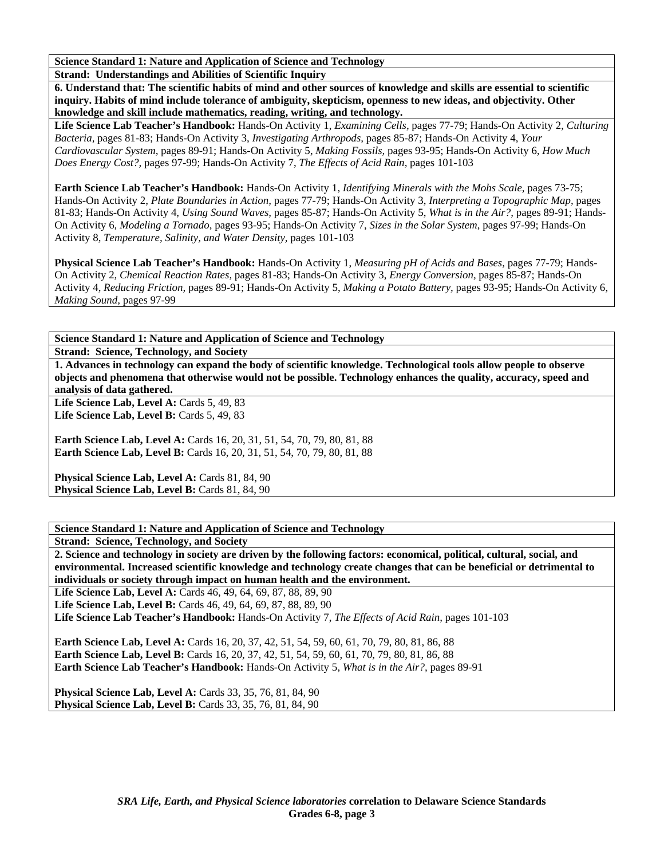**Science Standard 1: Nature and Application of Science and Technology** 

**Strand: Understandings and Abilities of Scientific Inquiry** 

**6. Understand that: The scientific habits of mind and other sources of knowledge and skills are essential to scientific inquiry. Habits of mind include tolerance of ambiguity, skepticism, openness to new ideas, and objectivity. Other knowledge and skill include mathematics, reading, writing, and technology.** 

**Life Science Lab Teacher's Handbook:** Hands-On Activity 1, *Examining Cells,* pages 77-79; Hands-On Activity 2, *Culturing Bacteria,* pages 81-83; Hands-On Activity 3, *Investigating Arthropods,* pages 85-87; Hands-On Activity 4, *Your Cardiovascular System,* pages 89-91; Hands-On Activity 5, *Making Fossils,* pages 93-95; Hands-On Activity 6, *How Much Does Energy Cost?,* pages 97-99; Hands-On Activity 7, *The Effects of Acid Rain,* pages 101-103

**Earth Science Lab Teacher's Handbook:** Hands-On Activity 1, *Identifying Minerals with the Mohs Scale,* pages 73-75; Hands-On Activity 2, *Plate Boundaries in Action,* pages 77-79; Hands-On Activity 3, *Interpreting a Topographic Map,* pages 81-83; Hands-On Activity 4, *Using Sound Waves,* pages 85-87; Hands-On Activity 5, *What is in the Air?,* pages 89-91; Hands-On Activity 6, *Modeling a Tornado,* pages 93-95; Hands-On Activity 7, *Sizes in the Solar System,* pages 97-99; Hands-On Activity 8, *Temperature, Salinity, and Water Density,* pages 101-103

**Physical Science Lab Teacher's Handbook:** Hands-On Activity 1, *Measuring pH of Acids and Bases,* pages 77-79; Hands-On Activity 2, *Chemical Reaction Rates,* pages 81-83; Hands-On Activity 3, *Energy Conversion,* pages 85-87; Hands-On Activity 4, *Reducing Friction,* pages 89-91; Hands-On Activity 5, *Making a Potato Battery,* pages 93-95; Hands-On Activity 6, *Making Sound,* pages 97-99

**Science Standard 1: Nature and Application of Science and Technology** 

**Strand: Science, Technology, and Society** 

**1. Advances in technology can expand the body of scientific knowledge. Technological tools allow people to observe objects and phenomena that otherwise would not be possible. Technology enhances the quality, accuracy, speed and analysis of data gathered.** 

Life Science Lab, Level A: Cards 5, 49, 83 Life Science Lab, Level B: Cards 5, 49, 83

**Earth Science Lab, Level A: Cards 16, 20, 31, 51, 54, 70, 79, 80, 81, 88 Earth Science Lab, Level B:** Cards 16, 20, 31, 51, 54, 70, 79, 80, 81, 88

Physical Science Lab, Level A: Cards 81, 84, 90 Physical Science Lab, Level B: Cards 81, 84, 90

**Science Standard 1: Nature and Application of Science and Technology** 

**Strand: Science, Technology, and Society** 

**2. Science and technology in society are driven by the following factors: economical, political, cultural, social, and environmental. Increased scientific knowledge and technology create changes that can be beneficial or detrimental to individuals or society through impact on human health and the environment.** 

**Life Science Lab, Level A:** Cards 46, 49, 64, 69, 87, 88, 89, 90 **Life Science Lab, Level B:** Cards 46, 49, 64, 69, 87, 88, 89, 90

**Life Science Lab Teacher's Handbook:** Hands-On Activity 7, *The Effects of Acid Rain,* pages 101-103

**Earth Science Lab, Level A:** Cards 16, 20, 37, 42, 51, 54, 59, 60, 61, 70, 79, 80, 81, 86, 88 Earth Science Lab, Level B: Cards 16, 20, 37, 42, 51, 54, 59, 60, 61, 70, 79, 80, 81, 86, 88 **Earth Science Lab Teacher's Handbook:** Hands-On Activity 5, *What is in the Air?,* pages 89-91

**Physical Science Lab, Level A: Cards 33, 35, 76, 81, 84, 90 Physical Science Lab, Level B: Cards 33, 35, 76, 81, 84, 90**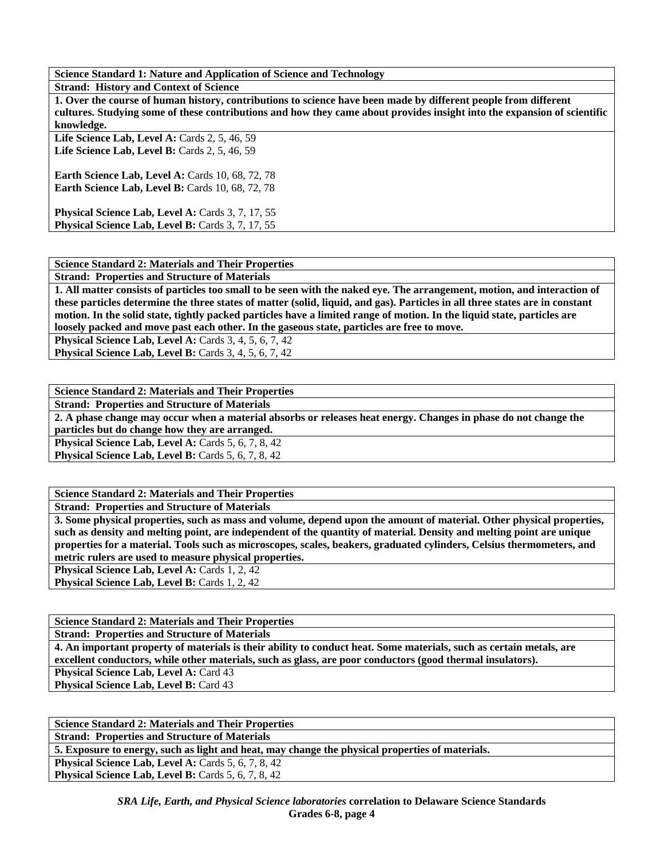**Science Standard 1: Nature and Application of Science and Technology** 

**Strand: History and Context of Science** 

**1. Over the course of human history, contributions to science have been made by different people from different cultures. Studying some of these contributions and how they came about provides insight into the expansion of scientific knowledge.** 

**Life Science Lab, Level A:** Cards 2, 5, 46, 59 Life Science Lab, Level B: Cards 2, 5, 46, 59

**Earth Science Lab, Level A: Cards 10, 68, 72, 78 Earth Science Lab, Level B: Cards 10, 68, 72, 78** 

Physical Science Lab, Level A: Cards 3, 7, 17, 55 Physical Science Lab, Level B: Cards 3, 7, 17, 55

## **Science Standard 2: Materials and Their Properties**

**Strand: Properties and Structure of Materials** 

**1. All matter consists of particles too small to be seen with the naked eye. The arrangement, motion, and interaction of these particles determine the three states of matter (solid, liquid, and gas). Particles in all three states are in constant motion. In the solid state, tightly packed particles have a limited range of motion. In the liquid state, particles are loosely packed and move past each other. In the gaseous state, particles are free to move.** 

**Physical Science Lab, Level A: Cards 3, 4, 5, 6, 7, 42 Physical Science Lab, Level B:** Cards 3, 4, 5, 6, 7, 42

| <b>Science Standard 2: Materials and Their Properties</b>                                                       |
|-----------------------------------------------------------------------------------------------------------------|
| <b>Strand: Properties and Structure of Materials</b>                                                            |
| 2. A phase change may occur when a material absorbs or releases heat energy. Changes in phase do not change the |
| particles but do change how they are arranged.                                                                  |
| <b>Physical Science Lab, Level A: Cards 5, 6, 7, 8, 42</b>                                                      |
| <b>Physical Science Lab, Level B:</b> Cards 5, 6, 7, 8, 42                                                      |
|                                                                                                                 |

**Science Standard 2: Materials and Their Properties** 

**Strand: Properties and Structure of Materials** 

**3. Some physical properties, such as mass and volume, depend upon the amount of material. Other physical properties, such as density and melting point, are independent of the quantity of material. Density and melting point are unique properties for a material. Tools such as microscopes, scales, beakers, graduated cylinders, Celsius thermometers, and metric rulers are used to measure physical properties. Physical Science Lab, Level A: Cards 1, 2, 42** 

Physical Science Lab, Level B: Cards 1, 2, 42

**Science Standard 2: Materials and Their Properties** 

**Strand: Properties and Structure of Materials** 

**4. An important property of materials is their ability to conduct heat. Some materials, such as certain metals, are excellent conductors, while other materials, such as glass, are poor conductors (good thermal insulators). Physical Science Lab, Level A: Card 43** Physical Science Lab, Level B: Card 43

| <b>Science Standard 2: Materials and Their Properties</b>                                       |
|-------------------------------------------------------------------------------------------------|
| <b>Strand: Properties and Structure of Materials</b>                                            |
| 5. Exposure to energy, such as light and heat, may change the physical properties of materials. |
| <b>Physical Science Lab, Level A: Cards 5, 6, 7, 8, 42</b>                                      |
| <b>Physical Science Lab, Level B:</b> Cards 5, 6, 7, 8, 42                                      |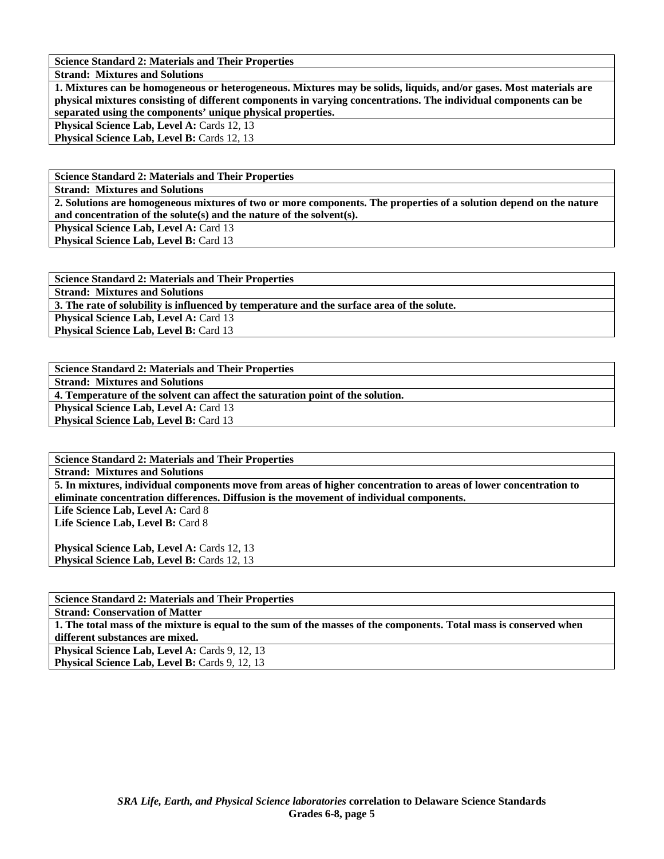**Science Standard 2: Materials and Their Properties** 

**Strand: Mixtures and Solutions** 

**1. Mixtures can be homogeneous or heterogeneous. Mixtures may be solids, liquids, and/or gases. Most materials are physical mixtures consisting of different components in varying concentrations. The individual components can be separated using the components' unique physical properties.** 

Physical Science Lab, Level A: Cards 12, 13 **Physical Science Lab, Level B: Cards 12, 13** 

**Science Standard 2: Materials and Their Properties** 

**Strand: Mixtures and Solutions** 

**2. Solutions are homogeneous mixtures of two or more components. The properties of a solution depend on the nature and concentration of the solute(s) and the nature of the solvent(s).** 

**Physical Science Lab, Level A: Card 13** 

**Physical Science Lab, Level B: Card 13** 

**Science Standard 2: Materials and Their Properties Strand: Mixtures and Solutions 3. The rate of solubility is influenced by temperature and the surface area of the solute. Physical Science Lab, Level A: Card 13 Physical Science Lab, Level B: Card 13** 

**Science Standard 2: Materials and Their Properties** 

**Strand: Mixtures and Solutions** 

**4. Temperature of the solvent can affect the saturation point of the solution.** 

**Physical Science Lab, Level A: Card 13 Physical Science Lab, Level B: Card 13** 

**Science Standard 2: Materials and Their Properties** 

**Strand: Mixtures and Solutions** 

**5. In mixtures, individual components move from areas of higher concentration to areas of lower concentration to eliminate concentration differences. Diffusion is the movement of individual components.** 

Life Science Lab, Level A: Card 8 Life Science Lab, Level B: Card 8

**Physical Science Lab, Level A: Cards 12, 13 Physical Science Lab, Level B: Cards 12, 13** 

| <b>Science Standard 2: Materials and Their Properties</b>                                                          |
|--------------------------------------------------------------------------------------------------------------------|
| <b>Strand: Conservation of Matter</b>                                                                              |
| 1. The total mass of the mixture is equal to the sum of the masses of the components. Total mass is conserved when |
| different substances are mixed.                                                                                    |
| <b>Physical Science Lab, Level A: Cards 9, 12, 13</b>                                                              |
| <b>Physical Science Lab, Level B:</b> Cards 9, 12, 13                                                              |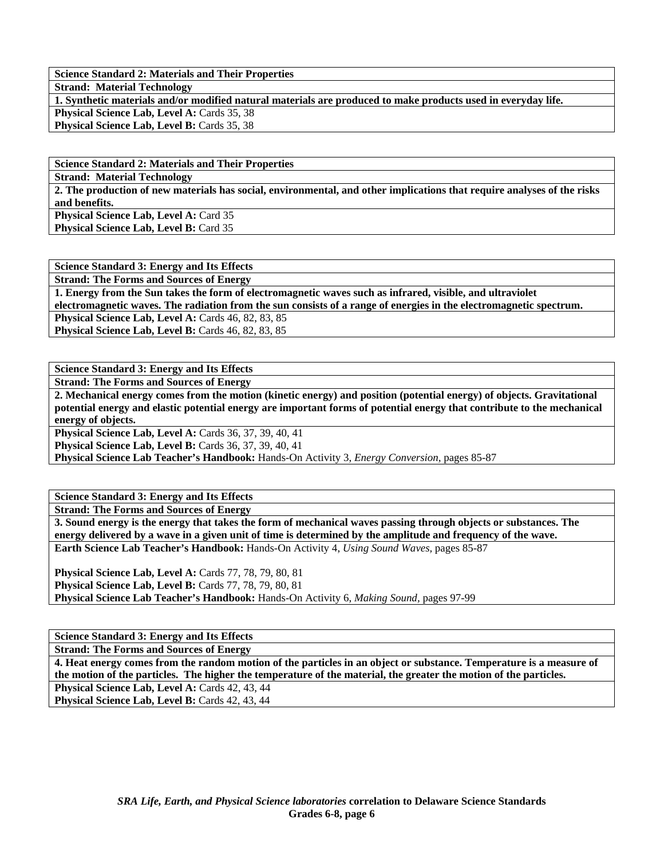**Science Standard 2: Materials and Their Properties** 

**Strand: Material Technology** 

**1. Synthetic materials and/or modified natural materials are produced to make products used in everyday life. Physical Science Lab, Level A: Cards 35, 38** 

Physical Science Lab, Level B: Cards 35, 38

**Science Standard 2: Materials and Their Properties** 

**Strand: Material Technology** 

**2. The production of new materials has social, environmental, and other implications that require analyses of the risks and benefits.** 

**Physical Science Lab, Level A: Card 35** Physical Science Lab, Level B: Card 35

**Science Standard 3: Energy and Its Effects** 

**Strand: The Forms and Sources of Energy** 

**1. Energy from the Sun takes the form of electromagnetic waves such as infrared, visible, and ultraviolet** 

**electromagnetic waves. The radiation from the sun consists of a range of energies in the electromagnetic spectrum.** 

**Physical Science Lab, Level A: Cards 46, 82, 83, 85** Physical Science Lab, Level B: Cards 46, 82, 83, 85

**Science Standard 3: Energy and Its Effects** 

**Strand: The Forms and Sources of Energy** 

**2. Mechanical energy comes from the motion (kinetic energy) and position (potential energy) of objects. Gravitational potential energy and elastic potential energy are important forms of potential energy that contribute to the mechanical energy of objects.** 

**Physical Science Lab, Level A:** Cards 36, 37, 39, 40, 41

**Physical Science Lab, Level B:** Cards 36, 37, 39, 40, 41

**Physical Science Lab Teacher's Handbook:** Hands-On Activity 3, *Energy Conversion,* pages 85-87

**Science Standard 3: Energy and Its Effects** 

**Strand: The Forms and Sources of Energy** 

**3. Sound energy is the energy that takes the form of mechanical waves passing through objects or substances. The energy delivered by a wave in a given unit of time is determined by the amplitude and frequency of the wave. Earth Science Lab Teacher's Handbook:** Hands-On Activity 4, *Using Sound Waves,* pages 85-87

**Physical Science Lab, Level A:** Cards 77, 78, 79, 80, 81 **Physical Science Lab, Level B:** Cards 77, 78, 79, 80, 81 **Physical Science Lab Teacher's Handbook:** Hands-On Activity 6, *Making Sound,* pages 97-99

**Science Standard 3: Energy and Its Effects** 

**Strand: The Forms and Sources of Energy** 

**4. Heat energy comes from the random motion of the particles in an object or substance. Temperature is a measure of the motion of the particles. The higher the temperature of the material, the greater the motion of the particles. Physical Science Lab, Level A: Cards 42, 43, 44** Physical Science Lab, Level B: Cards 42, 43, 44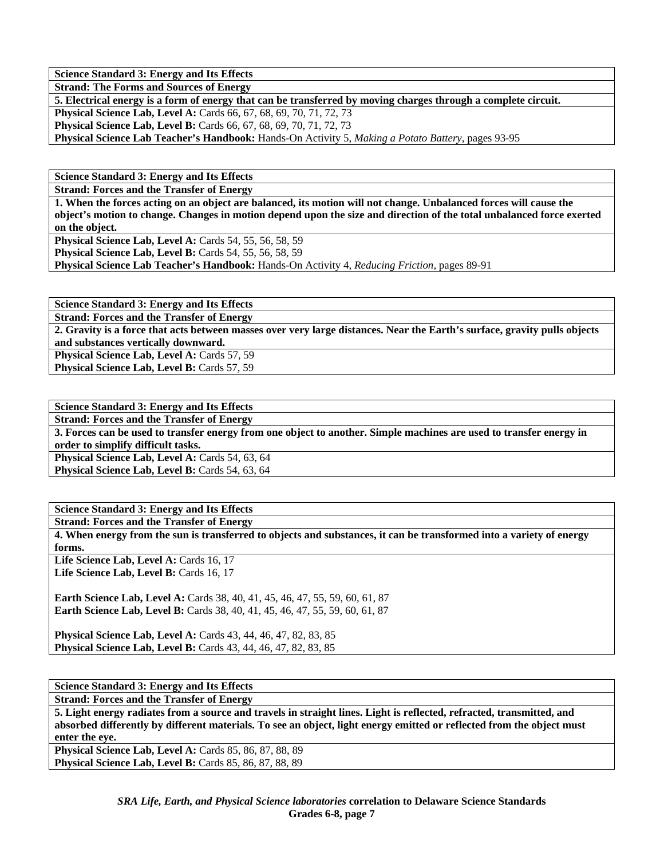**Strand: The Forms and Sources of Energy** 

**5. Electrical energy is a form of energy that can be transferred by moving charges through a complete circuit.** 

**Physical Science Lab, Level A:** Cards 66, 67, 68, 69, 70, 71, 72, 73 **Physical Science Lab, Level B:** Cards 66, 67, 68, 69, 70, 71, 72, 73

**Physical Science Lab Teacher's Handbook:** Hands-On Activity 5, *Making a Potato Battery,* pages 93-95

**Science Standard 3: Energy and Its Effects** 

**Strand: Forces and the Transfer of Energy** 

**1. When the forces acting on an object are balanced, its motion will not change. Unbalanced forces will cause the object's motion to change. Changes in motion depend upon the size and direction of the total unbalanced force exerted on the object.** 

**Physical Science Lab, Level A:** Cards 54, 55, 56, 58, 59

**Physical Science Lab, Level B: Cards 54, 55, 56, 58, 59** 

**Physical Science Lab Teacher's Handbook:** Hands-On Activity 4, *Reducing Friction,* pages 89-91

**Science Standard 3: Energy and Its Effects** 

**Strand: Forces and the Transfer of Energy** 

**2. Gravity is a force that acts between masses over very large distances. Near the Earth's surface, gravity pulls objects and substances vertically downward.** 

**Physical Science Lab, Level A: Cards 57, 59** Physical Science Lab, Level B: Cards 57, 59

**Science Standard 3: Energy and Its Effects** 

**Strand: Forces and the Transfer of Energy** 

**3. Forces can be used to transfer energy from one object to another. Simple machines are used to transfer energy in order to simplify difficult tasks.** 

Physical Science Lab, Level A: Cards 54, 63, 64

Physical Science Lab, Level B: Cards 54, 63, 64

**Science Standard 3: Energy and Its Effects** 

**Strand: Forces and the Transfer of Energy** 

**4. When energy from the sun is transferred to objects and substances, it can be transformed into a variety of energy forms.**  Life Science Lab, Level A: Cards 16, 17

Life Science Lab, Level B: Cards 16, 17

**Earth Science Lab, Level A: Cards 38, 40, 41, 45, 46, 47, 55, 59, 60, 61, 87 Earth Science Lab, Level B:** Cards 38, 40, 41, 45, 46, 47, 55, 59, 60, 61, 87

**Physical Science Lab, Level A:** Cards 43, 44, 46, 47, 82, 83, 85 **Physical Science Lab, Level B:** Cards 43, 44, 46, 47, 82, 83, 85

**Science Standard 3: Energy and Its Effects** 

**Strand: Forces and the Transfer of Energy** 

**5. Light energy radiates from a source and travels in straight lines. Light is reflected, refracted, transmitted, and absorbed differently by different materials. To see an object, light energy emitted or reflected from the object must enter the eye.** 

**Physical Science Lab, Level A: Cards 85, 86, 87, 88, 89 Physical Science Lab, Level B: Cards 85, 86, 87, 88, 89**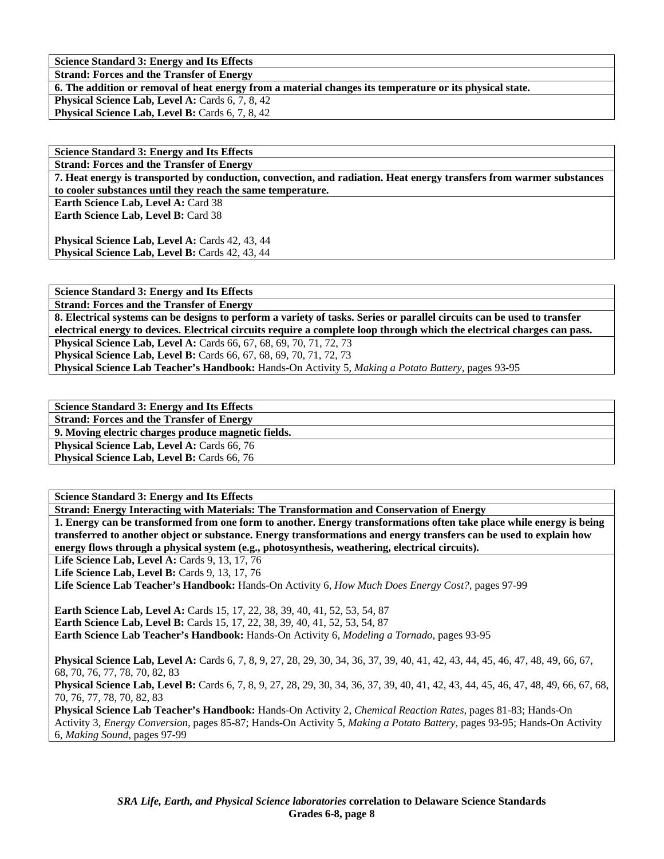**Strand: Forces and the Transfer of Energy** 

**6. The addition or removal of heat energy from a material changes its temperature or its physical state.** 

**Physical Science Lab, Level A: Cards 6, 7, 8, 42 Physical Science Lab, Level B: Cards 6, 7, 8, 42** 

**Science Standard 3: Energy and Its Effects Strand: Forces and the Transfer of Energy 7. Heat energy is transported by conduction, convection, and radiation. Heat energy transfers from warmer substances to cooler substances until they reach the same temperature.**  Earth Science Lab, Level A: Card 38 **Earth Science Lab, Level B: Card 38** 

**Physical Science Lab, Level A: Cards 42, 43, 44** Physical Science Lab, Level B: Cards 42, 43, 44

**Science Standard 3: Energy and Its Effects Strand: Forces and the Transfer of Energy 8. Electrical systems can be designs to perform a variety of tasks. Series or parallel circuits can be used to transfer electrical energy to devices. Electrical circuits require a complete loop through which the electrical charges can pass. Physical Science Lab, Level A:** Cards 66, 67, 68, 69, 70, 71, 72, 73 **Physical Science Lab, Level B:** Cards 66, 67, 68, 69, 70, 71, 72, 73 **Physical Science Lab Teacher's Handbook:** Hands-On Activity 5, *Making a Potato Battery,* pages 93-95

**Science Standard 3: Energy and Its Effects** 

**Strand: Forces and the Transfer of Energy** 

**9. Moving electric charges produce magnetic fields.** 

Physical Science Lab, Level A: Cards 66, 76 **Physical Science Lab, Level B: Cards 66, 76** 

**Science Standard 3: Energy and Its Effects** 

**Strand: Energy Interacting with Materials: The Transformation and Conservation of Energy 1. Energy can be transformed from one form to another. Energy transformations often take place while energy is being transferred to another object or substance. Energy transformations and energy transfers can be used to explain how energy flows through a physical system (e.g., photosynthesis, weathering, electrical circuits).**  Life Science Lab, Level A: Cards 9, 13, 17, 76 Life Science Lab, Level B: Cards 9, 13, 17, 76 **Life Science Lab Teacher's Handbook:** Hands-On Activity 6, *How Much Does Energy Cost?,* pages 97-99 **Earth Science Lab, Level A: Cards 15, 17, 22, 38, 39, 40, 41, 52, 53, 54, 87 Earth Science Lab, Level B:** Cards 15, 17, 22, 38, 39, 40, 41, 52, 53, 54, 87 **Earth Science Lab Teacher's Handbook:** Hands-On Activity 6, *Modeling a Tornado,* pages 93-95 **Physical Science Lab, Level A:** Cards 6, 7, 8, 9, 27, 28, 29, 30, 34, 36, 37, 39, 40, 41, 42, 43, 44, 45, 46, 47, 48, 49, 66, 67, 68, 70, 76, 77, 78, 70, 82, 83 **Physical Science Lab, Level B:** Cards 6, 7, 8, 9, 27, 28, 29, 30, 34, 36, 37, 39, 40, 41, 42, 43, 44, 45, 46, 47, 48, 49, 66, 67, 68, 70, 76, 77, 78, 70, 82, 83 **Physical Science Lab Teacher's Handbook:** Hands-On Activity 2, *Chemical Reaction Rates,* pages 81-83; Hands-On Activity 3, *Energy Conversion,* pages 85-87; Hands-On Activity 5, *Making a Potato Battery,* pages 93-95; Hands-On Activity

6, *Making Sound,* pages 97-99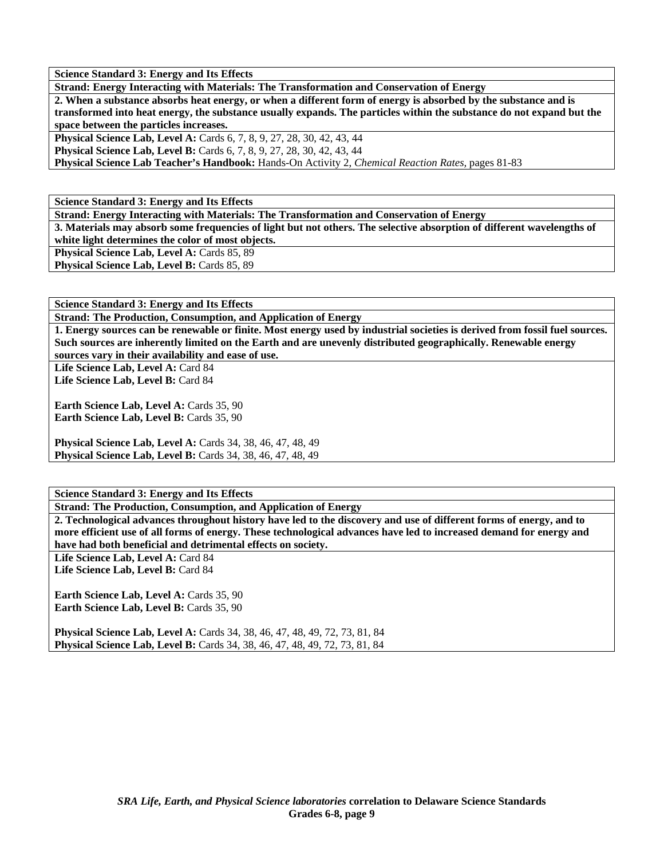**Strand: Energy Interacting with Materials: The Transformation and Conservation of Energy** 

**2. When a substance absorbs heat energy, or when a different form of energy is absorbed by the substance and is transformed into heat energy, the substance usually expands. The particles within the substance do not expand but the space between the particles increases.** 

**Physical Science Lab, Level A:** Cards 6, 7, 8, 9, 27, 28, 30, 42, 43, 44 **Physical Science Lab, Level B:** Cards 6, 7, 8, 9, 27, 28, 30, 42, 43, 44

**Physical Science Lab Teacher's Handbook:** Hands-On Activity 2, *Chemical Reaction Rates,* pages 81-83

**Science Standard 3: Energy and Its Effects** 

**Strand: Energy Interacting with Materials: The Transformation and Conservation of Energy** 

**3. Materials may absorb some frequencies of light but not others. The selective absorption of different wavelengths of white light determines the color of most objects.** 

Physical Science Lab, Level A: Cards 85, 89 Physical Science Lab, Level B: Cards 85, 89

**Science Standard 3: Energy and Its Effects** 

**Strand: The Production, Consumption, and Application of Energy** 

**1. Energy sources can be renewable or finite. Most energy used by industrial societies is derived from fossil fuel sources. Such sources are inherently limited on the Earth and are unevenly distributed geographically. Renewable energy sources vary in their availability and ease of use.** 

Life Science Lab, Level A: Card 84 Life Science Lab, Level B: Card 84

**Earth Science Lab, Level A: Cards 35, 90** Earth Science Lab, Level B: Cards 35, 90

**Physical Science Lab, Level A:** Cards 34, 38, 46, 47, 48, 49 **Physical Science Lab, Level B:** Cards 34, 38, 46, 47, 48, 49

**Science Standard 3: Energy and Its Effects** 

**Strand: The Production, Consumption, and Application of Energy** 

**2. Technological advances throughout history have led to the discovery and use of different forms of energy, and to more efficient use of all forms of energy. These technological advances have led to increased demand for energy and have had both beneficial and detrimental effects on society.** 

Life Science Lab, Level A: Card 84 Life Science Lab, Level B: Card 84

**Earth Science Lab, Level A: Cards 35, 90 Earth Science Lab, Level B: Cards 35, 90** 

**Physical Science Lab, Level A:** Cards 34, 38, 46, 47, 48, 49, 72, 73, 81, 84 **Physical Science Lab, Level B:** Cards 34, 38, 46, 47, 48, 49, 72, 73, 81, 84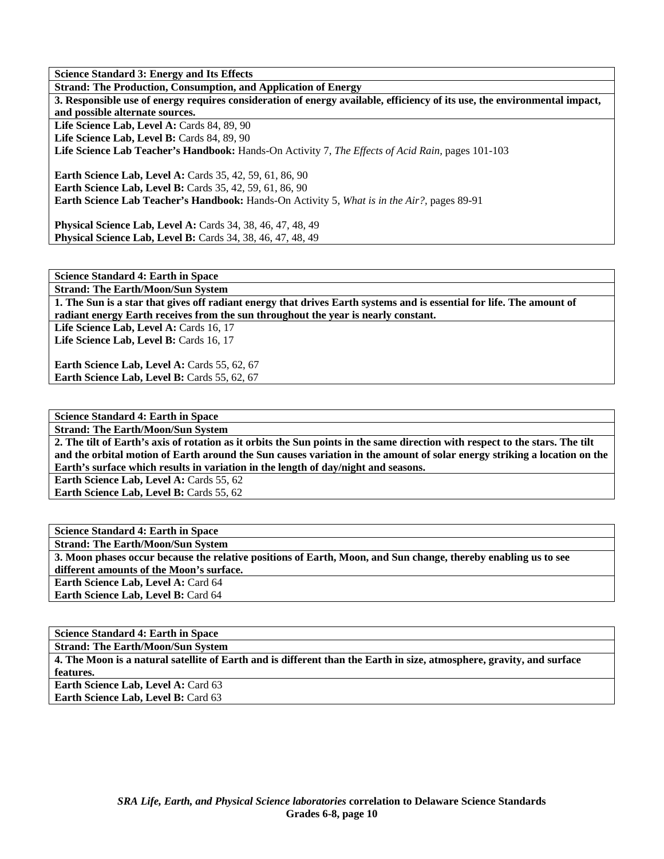**Strand: The Production, Consumption, and Application of Energy** 

**3. Responsible use of energy requires consideration of energy available, efficiency of its use, the environmental impact, and possible alternate sources.**  Life Science Lab, Level A: Cards 84, 89, 90

Life Science Lab, Level B: Cards 84, 89, 90

**Life Science Lab Teacher's Handbook:** Hands-On Activity 7, *The Effects of Acid Rain,* pages 101-103

**Earth Science Lab, Level A: Cards 35, 42, 59, 61, 86, 90 Earth Science Lab, Level B:** Cards 35, 42, 59, 61, 86, 90 **Earth Science Lab Teacher's Handbook:** Hands-On Activity 5, *What is in the Air?,* pages 89-91

**Physical Science Lab, Level A:** Cards 34, 38, 46, 47, 48, 49 **Physical Science Lab, Level B:** Cards 34, 38, 46, 47, 48, 49

**Science Standard 4: Earth in Space Strand: The Earth/Moon/Sun System** 

**1. The Sun is a star that gives off radiant energy that drives Earth systems and is essential for life. The amount of radiant energy Earth receives from the sun throughout the year is nearly constant.** 

Life Science Lab, Level A: Cards 16, 17 Life Science Lab, Level B: Cards 16, 17

**Earth Science Lab, Level A: Cards 55, 62, 67** Earth Science Lab, Level B: Cards 55, 62, 67

**Science Standard 4: Earth in Space** 

**Strand: The Earth/Moon/Sun System** 

**2. The tilt of Earth's axis of rotation as it orbits the Sun points in the same direction with respect to the stars. The tilt and the orbital motion of Earth around the Sun causes variation in the amount of solar energy striking a location on the Earth's surface which results in variation in the length of day/night and seasons.** 

**Earth Science Lab, Level A: Cards 55, 62 Earth Science Lab, Level B: Cards 55, 62** 

**Science Standard 4: Earth in Space Strand: The Earth/Moon/Sun System 3. Moon phases occur because the relative positions of Earth, Moon, and Sun change, thereby enabling us to see different amounts of the Moon's surface. Earth Science Lab, Level A: Card 64 Earth Science Lab, Level B:** Card 64

**Science Standard 4: Earth in Space** 

**Strand: The Earth/Moon/Sun System** 

**4. The Moon is a natural satellite of Earth and is different than the Earth in size, atmosphere, gravity, and surface features.** 

**Earth Science Lab, Level A: Card 63 Earth Science Lab, Level B: Card 63** 

> *SRA Life, Earth, and Physical Science laboratories* **correlation to Delaware Science Standards Grades 6-8, page 10**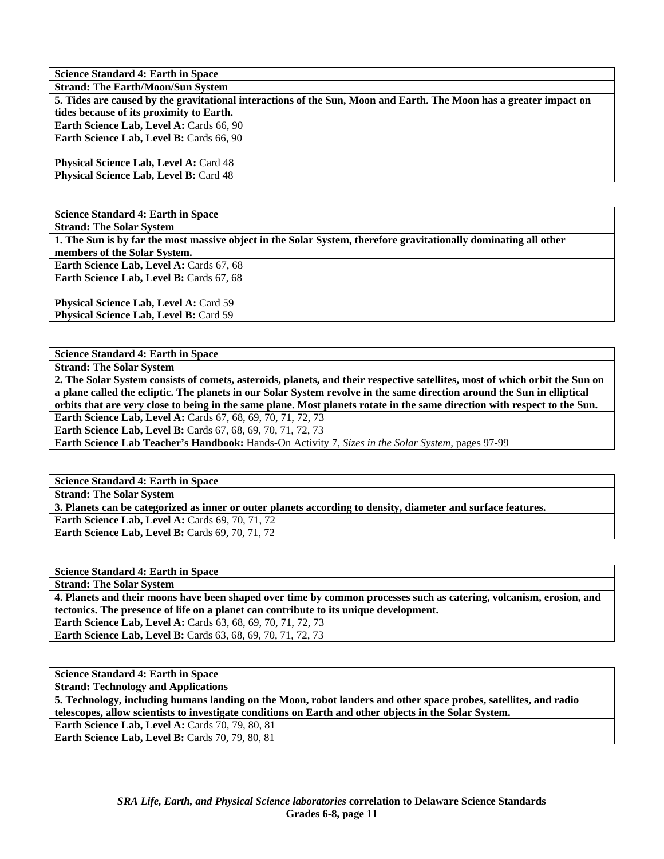**Science Standard 4: Earth in Space Strand: The Earth/Moon/Sun System 5. Tides are caused by the gravitational interactions of the Sun, Moon and Earth. The Moon has a greater impact on tides because of its proximity to Earth.**  Earth Science Lab, Level A: Cards 66, 90 **Earth Science Lab, Level B: Cards 66, 90 Physical Science Lab, Level A: Card 48 Physical Science Lab, Level B: Card 48** 

**Science Standard 4: Earth in Space** 

**Strand: The Solar System** 

**1. The Sun is by far the most massive object in the Solar System, therefore gravitationally dominating all other members of the Solar System.** 

Earth Science Lab, Level A: Cards 67, 68 **Earth Science Lab, Level B: Cards 67, 68** 

**Physical Science Lab, Level A: Card 59** Physical Science Lab, Level B: Card 59

**Science Standard 4: Earth in Space** 

**Strand: The Solar System** 

**2. The Solar System consists of comets, asteroids, planets, and their respective satellites, most of which orbit the Sun on a plane called the ecliptic. The planets in our Solar System revolve in the same direction around the Sun in elliptical orbits that are very close to being in the same plane. Most planets rotate in the same direction with respect to the Sun. Earth Science Lab, Level A: Cards 67, 68, 69, 70, 71, 72, 73 Earth Science Lab, Level B:** Cards 67, 68, 69, 70, 71, 72, 73

**Earth Science Lab Teacher's Handbook:** Hands-On Activity 7, *Sizes in the Solar System,* pages 97-99

**Science Standard 4: Earth in Space Strand: The Solar System 3. Planets can be categorized as inner or outer planets according to density, diameter and surface features. Earth Science Lab, Level A: Cards 69, 70, 71, 72** 

**Earth Science Lab, Level B: Cards 69, 70, 71, 72** 

**Science Standard 4: Earth in Space** 

**Strand: The Solar System** 

**4. Planets and their moons have been shaped over time by common processes such as catering, volcanism, erosion, and tectonics. The presence of life on a planet can contribute to its unique development.** 

**Earth Science Lab, Level A:** Cards 63, 68, 69, 70, 71, 72, 73 **Earth Science Lab, Level B:** Cards 63, 68, 69, 70, 71, 72, 73

**Science Standard 4: Earth in Space** 

**Strand: Technology and Applications** 

**5. Technology, including humans landing on the Moon, robot landers and other space probes, satellites, and radio telescopes, allow scientists to investigate conditions on Earth and other objects in the Solar System. Earth Science Lab, Level A: Cards 70, 79, 80, 81** 

**Earth Science Lab, Level B: Cards 70, 79, 80, 81**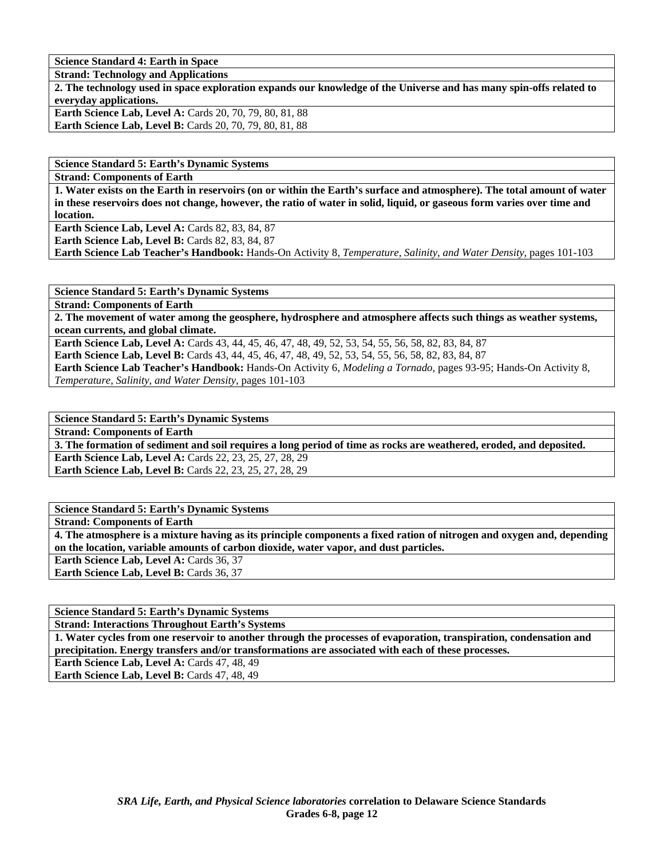**Science Standard 4: Earth in Space** 

**Strand: Technology and Applications** 

**2. The technology used in space exploration expands our knowledge of the Universe and has many spin-offs related to everyday applications.** 

**Earth Science Lab, Level A: Cards 20, 70, 79, 80, 81, 88 Earth Science Lab, Level B:** Cards 20, 70, 79, 80, 81, 88

**Science Standard 5: Earth's Dynamic Systems** 

**Strand: Components of Earth** 

**1. Water exists on the Earth in reservoirs (on or within the Earth's surface and atmosphere). The total amount of water in these reservoirs does not change, however, the ratio of water in solid, liquid, or gaseous form varies over time and location.** 

**Earth Science Lab, Level A: Cards 82, 83, 84, 87** 

**Earth Science Lab, Level B: Cards 82, 83, 84, 87** 

**Earth Science Lab Teacher's Handbook:** Hands-On Activity 8, *Temperature, Salinity, and Water Density,* pages 101-103

**Science Standard 5: Earth's Dynamic Systems** 

**Strand: Components of Earth** 

**2. The movement of water among the geosphere, hydrosphere and atmosphere affects such things as weather systems, ocean currents, and global climate.** 

**Earth Science Lab, Level A:** Cards 43, 44, 45, 46, 47, 48, 49, 52, 53, 54, 55, 56, 58, 82, 83, 84, 87 **Earth Science Lab, Level B:** Cards 43, 44, 45, 46, 47, 48, 49, 52, 53, 54, 55, 56, 58, 82, 83, 84, 87 **Earth Science Lab Teacher's Handbook:** Hands-On Activity 6, *Modeling a Tornado,* pages 93-95; Hands-On Activity 8, *Temperature, Salinity, and Water Density,* pages 101-103

**Science Standard 5: Earth's Dynamic Systems** 

**Strand: Components of Earth 3. The formation of sediment and soil requires a long period of time as rocks are weathered, eroded, and deposited. Earth Science Lab, Level A: Cards 22, 23, 25, 27, 28, 29 Earth Science Lab, Level B:** Cards 22, 23, 25, 27, 28, 29

**Science Standard 5: Earth's Dynamic Systems Strand: Components of Earth 4. The atmosphere is a mixture having as its principle components a fixed ration of nitrogen and oxygen and, depending on the location, variable amounts of carbon dioxide, water vapor, and dust particles. Earth Science Lab, Level A: Cards 36, 37** Earth Science Lab, Level B: Cards 36, 37

**Science Standard 5: Earth's Dynamic Systems** 

**Strand: Interactions Throughout Earth's Systems** 

**1. Water cycles from one reservoir to another through the processes of evaporation, transpiration, condensation and precipitation. Energy transfers and/or transformations are associated with each of these processes.** 

Earth Science Lab, Level A: Cards 47, 48, 49

**Earth Science Lab, Level B:** Cards 47, 48, 49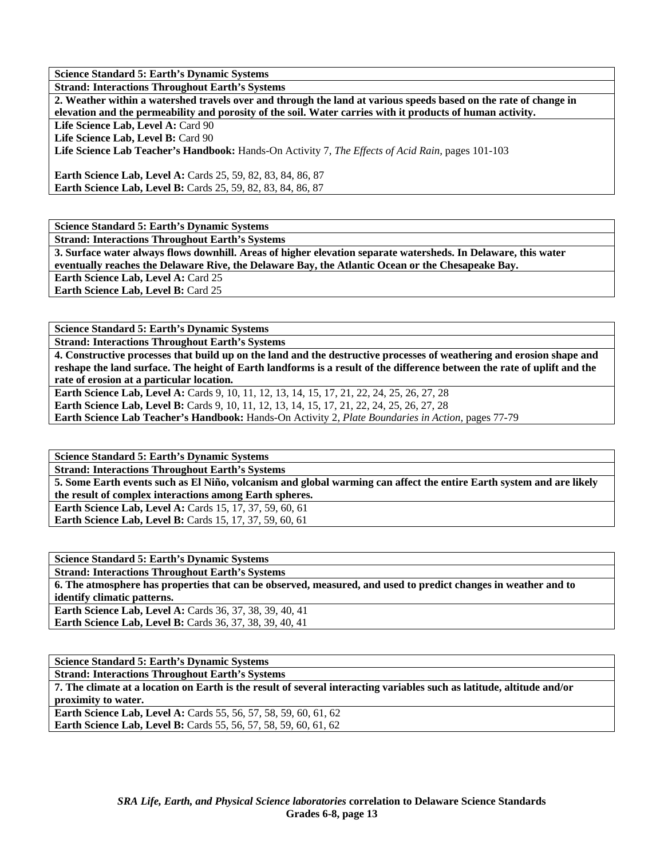**Science Standard 5: Earth's Dynamic Systems** 

**Strand: Interactions Throughout Earth's Systems** 

**2. Weather within a watershed travels over and through the land at various speeds based on the rate of change in elevation and the permeability and porosity of the soil. Water carries with it products of human activity.** 

Life Science Lab, Level A: Card 90

Life Science Lab. Level B: Card 90

**Life Science Lab Teacher's Handbook:** Hands-On Activity 7, *The Effects of Acid Rain,* pages 101-103

**Earth Science Lab, Level A:** Cards 25, 59, 82, 83, 84, 86, 87 **Earth Science Lab, Level B:** Cards 25, 59, 82, 83, 84, 86, 87

**Science Standard 5: Earth's Dynamic Systems** 

**Strand: Interactions Throughout Earth's Systems** 

**3. Surface water always flows downhill. Areas of higher elevation separate watersheds. In Delaware, this water eventually reaches the Delaware Rive, the Delaware Bay, the Atlantic Ocean or the Chesapeake Bay.** 

**Earth Science Lab, Level A: Card 25** 

**Earth Science Lab, Level B: Card 25** 

**Science Standard 5: Earth's Dynamic Systems** 

**Strand: Interactions Throughout Earth's Systems** 

**4. Constructive processes that build up on the land and the destructive processes of weathering and erosion shape and reshape the land surface. The height of Earth landforms is a result of the difference between the rate of uplift and the rate of erosion at a particular location.** 

Earth Science Lab, Level A: Cards 9, 10, 11, 12, 13, 14, 15, 17, 21, 22, 24, 25, 26, 27, 28 Earth Science Lab, Level B: Cards 9, 10, 11, 12, 13, 14, 15, 17, 21, 22, 24, 25, 26, 27, 28 **Earth Science Lab Teacher's Handbook:** Hands-On Activity 2, *Plate Boundaries in Action,* pages 77-79

**Science Standard 5: Earth's Dynamic Systems Strand: Interactions Throughout Earth's Systems 5. Some Earth events such as El Niño, volcanism and global warming can affect the entire Earth system and are likely the result of complex interactions among Earth spheres. Earth Science Lab, Level A:** Cards 15, 17, 37, 59, 60, 61 **Earth Science Lab, Level B:** Cards 15, 17, 37, 59, 60, 61

| <b>Science Standard 5: Earth's Dynamic Systems</b>                                                             |
|----------------------------------------------------------------------------------------------------------------|
| <b>Strand: Interactions Throughout Earth's Systems</b>                                                         |
| 6. The atmosphere has properties that can be observed, measured, and used to predict changes in weather and to |
| identify climatic patterns.                                                                                    |
| <b>Earth Science Lab, Level A: Cards 36, 37, 38, 39, 40, 41</b>                                                |
| <b>Earth Science Lab, Level B:</b> Cards 36, 37, 38, 39, 40, 41                                                |
|                                                                                                                |

**Science Standard 5: Earth's Dynamic Systems Strand: Interactions Throughout Earth's Systems 7. The climate at a location on Earth is the result of several interacting variables such as latitude, altitude and/or proximity to water. Earth Science Lab, Level A: Cards 55, 56, 57, 58, 59, 60, 61, 62 Earth Science Lab, Level B:** Cards 55, 56, 57, 58, 59, 60, 61, 62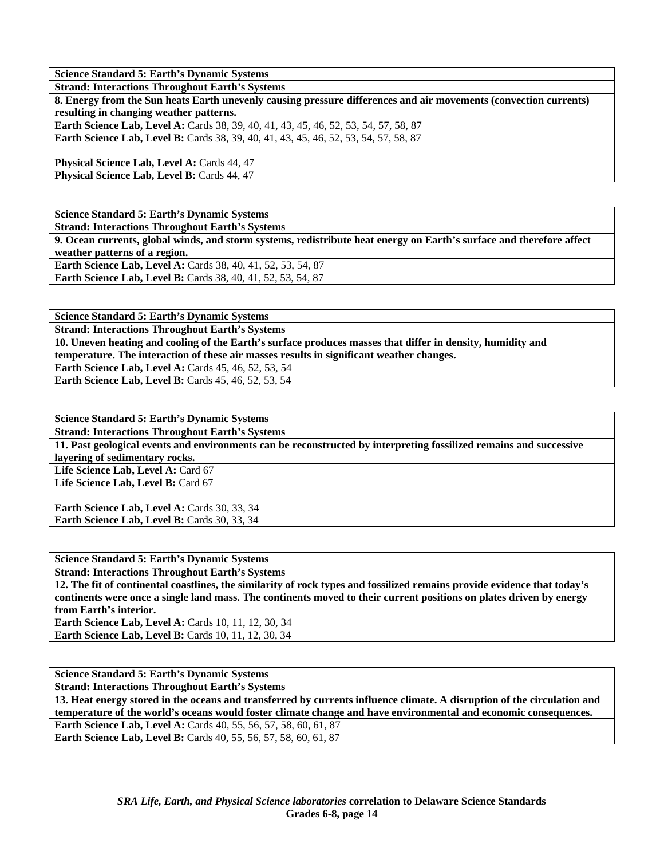**Science Standard 5: Earth's Dynamic Systems** 

**Strand: Interactions Throughout Earth's Systems 8. Energy from the Sun heats Earth unevenly causing pressure differences and air movements (convection currents) resulting in changing weather patterns.** 

**Earth Science Lab, Level A: Cards 38, 39, 40, 41, 43, 45, 46, 52, 53, 54, 57, 58, 87 Earth Science Lab, Level B:** Cards 38, 39, 40, 41, 43, 45, 46, 52, 53, 54, 57, 58, 87

**Physical Science Lab, Level A: Cards 44, 47 Physical Science Lab, Level B: Cards 44, 47** 

**Science Standard 5: Earth's Dynamic Systems** 

**Strand: Interactions Throughout Earth's Systems** 

**9. Ocean currents, global winds, and storm systems, redistribute heat energy on Earth's surface and therefore affect weather patterns of a region. Earth Science Lab, Level A: Cards 38, 40, 41, 52, 53, 54, 87 Earth Science Lab, Level B:** Cards 38, 40, 41, 52, 53, 54, 87

**Science Standard 5: Earth's Dynamic Systems** 

**Strand: Interactions Throughout Earth's Systems** 

**10. Uneven heating and cooling of the Earth's surface produces masses that differ in density, humidity and temperature. The interaction of these air masses results in significant weather changes.** 

**Earth Science Lab, Level A: Cards 45, 46, 52, 53, 54** 

**Earth Science Lab, Level B: Cards 45, 46, 52, 53, 54** 

**Science Standard 5: Earth's Dynamic Systems Strand: Interactions Throughout Earth's Systems 11. Past geological events and environments can be reconstructed by interpreting fossilized remains and successive layering of sedimentary rocks.**  Life Science Lab, Level A: Card 67 Life Science Lab, Level B: Card 67

Earth Science Lab, Level A: Cards 30, 33, 34 Earth Science Lab, Level B: Cards 30, 33, 34

**Science Standard 5: Earth's Dynamic Systems** 

**Strand: Interactions Throughout Earth's Systems** 

**12. The fit of continental coastlines, the similarity of rock types and fossilized remains provide evidence that today's continents were once a single land mass. The continents moved to their current positions on plates driven by energy from Earth's interior. Earth Science Lab, Level A: Cards 10, 11, 12, 30, 34 Earth Science Lab, Level B: Cards 10, 11, 12, 30, 34** 

**Science Standard 5: Earth's Dynamic Systems** 

**Strand: Interactions Throughout Earth's Systems** 

**13. Heat energy stored in the oceans and transferred by currents influence climate. A disruption of the circulation and temperature of the world's oceans would foster climate change and have environmental and economic consequences. Earth Science Lab, Level A:** Cards 40, 55, 56, 57, 58, 60, 61, 87 **Earth Science Lab, Level B:** Cards 40, 55, 56, 57, 58, 60, 61, 87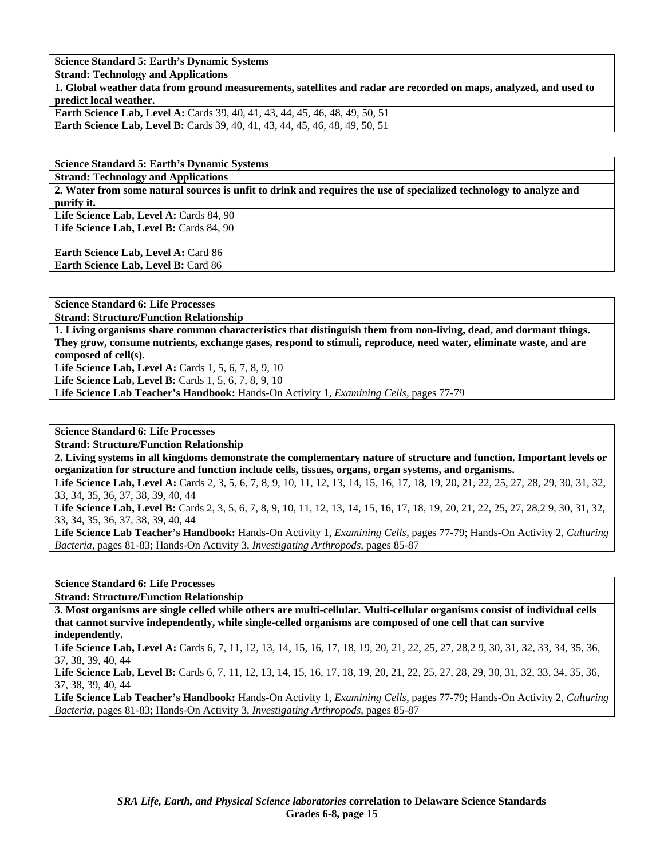**Science Standard 5: Earth's Dynamic Systems** 

**Strand: Technology and Applications** 

**1. Global weather data from ground measurements, satellites and radar are recorded on maps, analyzed, and used to predict local weather.** 

**Earth Science Lab, Level A: Cards 39, 40, 41, 43, 44, 45, 46, 48, 49, 50, 51 Earth Science Lab, Level B:** Cards 39, 40, 41, 43, 44, 45, 46, 48, 49, 50, 51

**Science Standard 5: Earth's Dynamic Systems** 

**Strand: Technology and Applications** 

**2. Water from some natural sources is unfit to drink and requires the use of specialized technology to analyze and purify it.** 

Life Science Lab, Level A: Cards 84, 90 Life Science Lab, Level B: Cards 84, 90

**Earth Science Lab, Level A: Card 86 Earth Science Lab, Level B:** Card 86

**Science Standard 6: Life Processes** 

**Strand: Structure/Function Relationship** 

**1. Living organisms share common characteristics that distinguish them from non-living, dead, and dormant things. They grow, consume nutrients, exchange gases, respond to stimuli, reproduce, need water, eliminate waste, and are composed of cell(s).** 

**Life Science Lab, Level A: Cards 1, 5, 6, 7, 8, 9, 10** 

**Life Science Lab, Level B:** Cards 1, 5, 6, 7, 8, 9, 10

**Life Science Lab Teacher's Handbook:** Hands-On Activity 1, *Examining Cells,* pages 77-79

**Science Standard 6: Life Processes** 

**Strand: Structure/Function Relationship** 

**2. Living systems in all kingdoms demonstrate the complementary nature of structure and function. Important levels or organization for structure and function include cells, tissues, organs, organ systems, and organisms.** 

Life Science Lab, Level A: Cards 2, 3, 5, 6, 7, 8, 9, 10, 11, 12, 13, 14, 15, 16, 17, 18, 19, 20, 21, 22, 25, 27, 28, 29, 30, 31, 32, 33, 34, 35, 36, 37, 38, 39, 40, 44

Life Science Lab, Level B: Cards 2, 3, 5, 6, 7, 8, 9, 10, 11, 12, 13, 14, 15, 16, 17, 18, 19, 20, 21, 22, 25, 27, 28, 29, 30, 31, 32, 33, 34, 35, 36, 37, 38, 39, 40, 44

**Life Science Lab Teacher's Handbook:** Hands-On Activity 1, *Examining Cells,* pages 77-79; Hands-On Activity 2, *Culturing Bacteria,* pages 81-83; Hands-On Activity 3, *Investigating Arthropods,* pages 85-87

**Science Standard 6: Life Processes** 

**Strand: Structure/Function Relationship** 

**3. Most organisms are single celled while others are multi-cellular. Multi-cellular organisms consist of individual cells that cannot survive independently, while single-celled organisms are composed of one cell that can survive independently.** 

Life Science Lab, Level A: Cards 6, 7, 11, 12, 13, 14, 15, 16, 17, 18, 19, 20, 21, 22, 25, 27, 28, 29, 30, 31, 32, 33, 34, 35, 36, 37, 38, 39, 40, 44

Life Science Lab, Level B: Cards 6, 7, 11, 12, 13, 14, 15, 16, 17, 18, 19, 20, 21, 22, 25, 27, 28, 29, 30, 31, 32, 33, 34, 35, 36, 37, 38, 39, 40, 44

**Life Science Lab Teacher's Handbook:** Hands-On Activity 1, *Examining Cells,* pages 77-79; Hands-On Activity 2, *Culturing Bacteria,* pages 81-83; Hands-On Activity 3, *Investigating Arthropods,* pages 85-87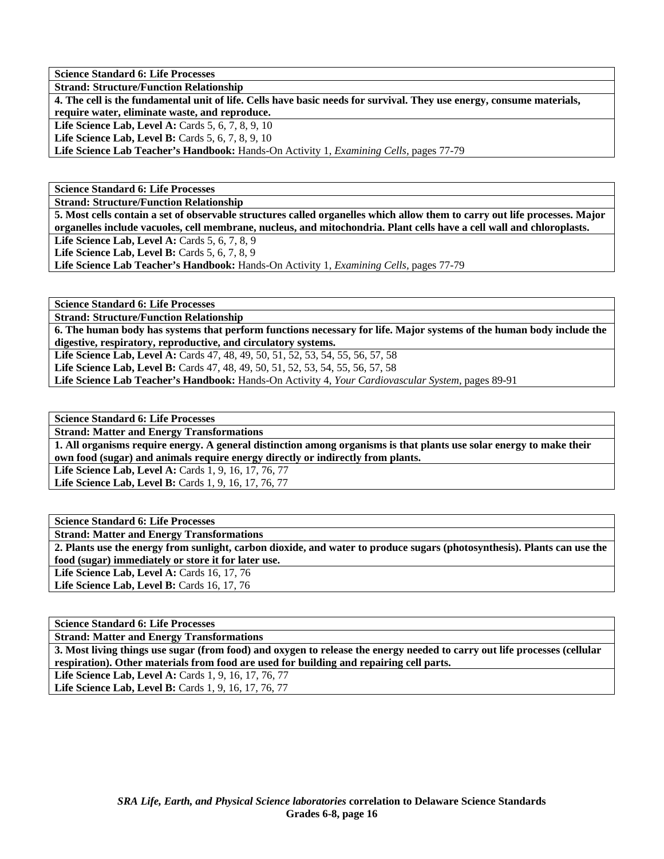**Science Standard 6: Life Processes** 

**Strand: Structure/Function Relationship** 

**4. The cell is the fundamental unit of life. Cells have basic needs for survival. They use energy, consume materials, require water, eliminate waste, and reproduce.** 

**Life Science Lab, Level A: Cards 5, 6, 7, 8, 9, 10** 

**Life Science Lab, Level B:** Cards 5, 6, 7, 8, 9, 10

**Life Science Lab Teacher's Handbook:** Hands-On Activity 1, *Examining Cells,* pages 77-79

**Science Standard 6: Life Processes** 

**Strand: Structure/Function Relationship** 

**5. Most cells contain a set of observable structures called organelles which allow them to carry out life processes. Major organelles include vacuoles, cell membrane, nucleus, and mitochondria. Plant cells have a cell wall and chloroplasts.** 

**Life Science Lab, Level A:** Cards 5, 6, 7, 8, 9

**Life Science Lab, Level B:** Cards 5, 6, 7, 8, 9

**Life Science Lab Teacher's Handbook:** Hands-On Activity 1, *Examining Cells,* pages 77-79

**Science Standard 6: Life Processes** 

**Strand: Structure/Function Relationship** 

**6. The human body has systems that perform functions necessary for life. Major systems of the human body include the digestive, respiratory, reproductive, and circulatory systems.** 

**Life Science Lab, Level A:** Cards 47, 48, 49, 50, 51, 52, 53, 54, 55, 56, 57, 58

**Life Science Lab, Level B:** Cards 47, 48, 49, 50, 51, 52, 53, 54, 55, 56, 57, 58

**Life Science Lab Teacher's Handbook:** Hands-On Activity 4, *Your Cardiovascular System,* pages 89-91

**Science Standard 6: Life Processes** 

**Strand: Matter and Energy Transformations** 

**1. All organisms require energy. A general distinction among organisms is that plants use solar energy to make their own food (sugar) and animals require energy directly or indirectly from plants.** 

Life Science Lab, Level A: Cards 1, 9, 16, 17, 76, 77

Life Science Lab, Level B: Cards 1, 9, 16, 17, 76, 77

**Science Standard 6: Life Processes Strand: Matter and Energy Transformations 2. Plants use the energy from sunlight, carbon dioxide, and water to produce sugars (photosynthesis). Plants can use the food (sugar) immediately or store it for later use. Life Science Lab, Level A: Cards 16, 17, 76** 

Life Science Lab, Level B: Cards 16, 17, 76

**Science Standard 6: Life Processes** 

**Strand: Matter and Energy Transformations** 

**3. Most living things use sugar (from food) and oxygen to release the energy needed to carry out life processes (cellular respiration). Other materials from food are used for building and repairing cell parts.** 

Life Science Lab, Level A: Cards 1, 9, 16, 17, 76, 77 Life Science Lab, Level B: Cards 1, 9, 16, 17, 76, 77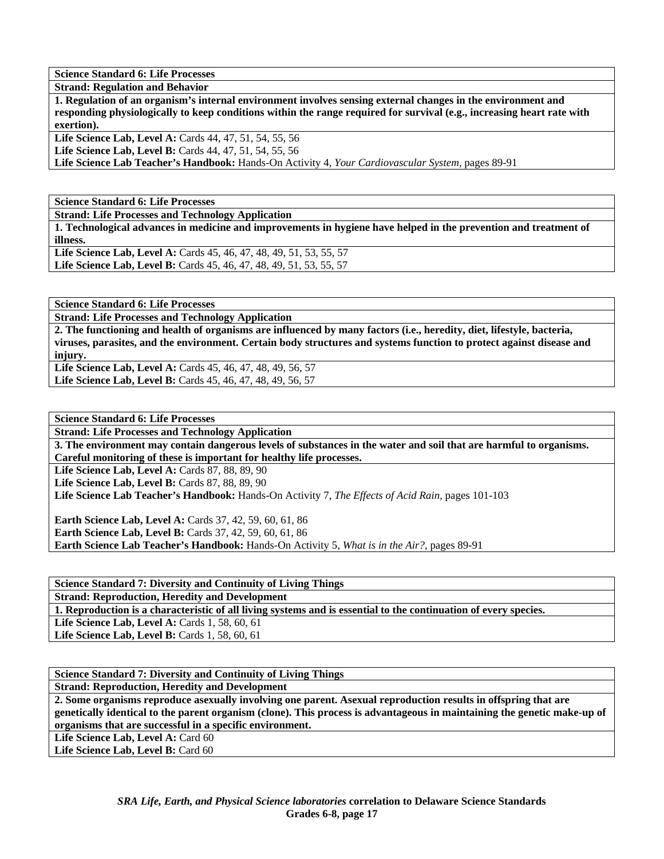**Science Standard 6: Life Processes** 

**Strand: Regulation and Behavior** 

**1. Regulation of an organism's internal environment involves sensing external changes in the environment and responding physiologically to keep conditions within the range required for survival (e.g., increasing heart rate with exertion).** 

**Life Science Lab, Level A:** Cards 44, 47, 51, 54, 55, 56

**Life Science Lab, Level B:** Cards 44, 47, 51, 54, 55, 56

**Life Science Lab Teacher's Handbook:** Hands-On Activity 4, *Your Cardiovascular System,* pages 89-91

**Science Standard 6: Life Processes** 

**Strand: Life Processes and Technology Application** 

**1. Technological advances in medicine and improvements in hygiene have helped in the prevention and treatment of illness.** 

**Life Science Lab, Level A:** Cards 45, 46, 47, 48, 49, 51, 53, 55, 57 Life Science Lab, Level B: Cards 45, 46, 47, 48, 49, 51, 53, 55, 57

**Science Standard 6: Life Processes** 

**Strand: Life Processes and Technology Application** 

**2. The functioning and health of organisms are influenced by many factors (i.e., heredity, diet, lifestyle, bacteria, viruses, parasites, and the environment. Certain body structures and systems function to protect against disease and injury.** 

**Life Science Lab, Level A:** Cards 45, 46, 47, 48, 49, 56, 57 **Life Science Lab, Level B:** Cards 45, 46, 47, 48, 49, 56, 57

**Science Standard 6: Life Processes** 

**Strand: Life Processes and Technology Application** 

**3. The environment may contain dangerous levels of substances in the water and soil that are harmful to organisms. Careful monitoring of these is important for healthy life processes.** 

Life Science Lab, Level A: Cards 87, 88, 89, 90

Life Science Lab, Level B: Cards 87, 88, 89, 90

**Life Science Lab Teacher's Handbook:** Hands-On Activity 7, *The Effects of Acid Rain,* pages 101-103

**Earth Science Lab, Level A: Cards 37, 42, 59, 60, 61, 86 Earth Science Lab, Level B:** Cards 37, 42, 59, 60, 61, 86 **Earth Science Lab Teacher's Handbook:** Hands-On Activity 5, *What is in the Air?,* pages 89-91

**Science Standard 7: Diversity and Continuity of Living Things Strand: Reproduction, Heredity and Development 1. Reproduction is a characteristic of all living systems and is essential to the continuation of every species. Life Science Lab, Level A:** Cards 1, 58, 60, 61 **Life Science Lab, Level B: Cards 1, 58, 60, 61** 

**Science Standard 7: Diversity and Continuity of Living Things** 

**Strand: Reproduction, Heredity and Development** 

**2. Some organisms reproduce asexually involving one parent. Asexual reproduction results in offspring that are genetically identical to the parent organism (clone). This process is advantageous in maintaining the genetic make-up of organisms that are successful in a specific environment.** 

Life Science Lab, Level A: Card 60

Life Science Lab, Level B: Card 60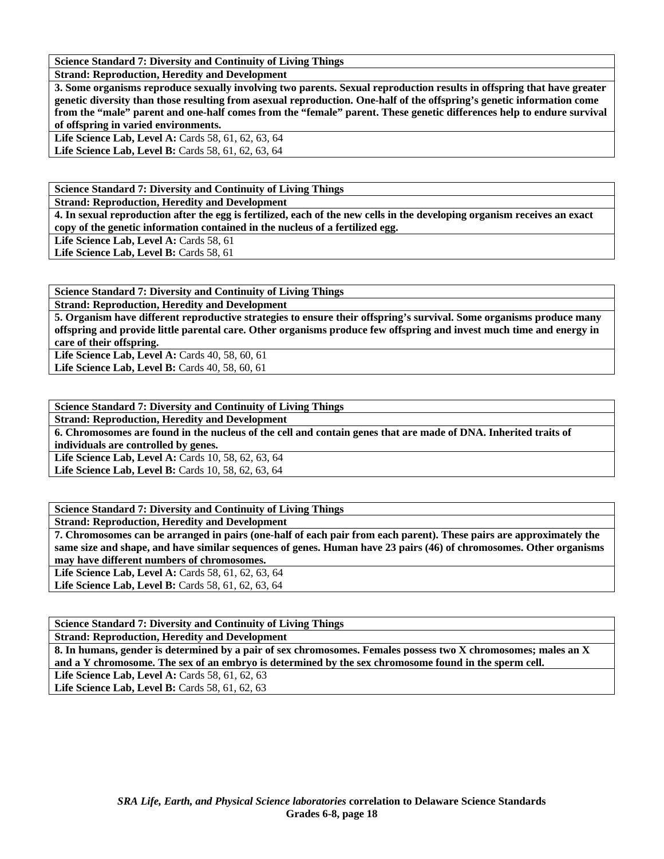**Science Standard 7: Diversity and Continuity of Living Things** 

**Strand: Reproduction, Heredity and Development** 

**3. Some organisms reproduce sexually involving two parents. Sexual reproduction results in offspring that have greater genetic diversity than those resulting from asexual reproduction. One-half of the offspring's genetic information come from the "male" parent and one-half comes from the "female" parent. These genetic differences help to endure survival of offspring in varied environments.** 

**Life Science Lab, Level A:** Cards 58, 61, 62, 63, 64 Life Science Lab, Level B: Cards 58, 61, 62, 63, 64

**Science Standard 7: Diversity and Continuity of Living Things** 

**Strand: Reproduction, Heredity and Development** 

**4. In sexual reproduction after the egg is fertilized, each of the new cells in the developing organism receives an exact copy of the genetic information contained in the nucleus of a fertilized egg.** 

Life Science Lab, Level A: Cards 58, 61

Life Science Lab, Level B: Cards 58, 61

**Science Standard 7: Diversity and Continuity of Living Things** 

**Strand: Reproduction, Heredity and Development** 

**5. Organism have different reproductive strategies to ensure their offspring's survival. Some organisms produce many offspring and provide little parental care. Other organisms produce few offspring and invest much time and energy in care of their offspring.**  Life Science Lab, Level A: Cards 40, 58, 60, 61

Life Science Lab, Level B: Cards 40, 58, 60, 61

**Science Standard 7: Diversity and Continuity of Living Things** 

**Strand: Reproduction, Heredity and Development** 

**6. Chromosomes are found in the nucleus of the cell and contain genes that are made of DNA. Inherited traits of individuals are controlled by genes.** 

Life Science Lab, Level A: Cards 10, 58, 62, 63, 64

Life Science Lab, Level B: Cards 10, 58, 62, 63, 64

**Science Standard 7: Diversity and Continuity of Living Things** 

**Strand: Reproduction, Heredity and Development** 

**7. Chromosomes can be arranged in pairs (one-half of each pair from each parent). These pairs are approximately the same size and shape, and have similar sequences of genes. Human have 23 pairs (46) of chromosomes. Other organisms may have different numbers of chromosomes.** 

Life Science Lab, Level A: Cards 58, 61, 62, 63, 64 Life Science Lab, Level B: Cards 58, 61, 62, 63, 64

**Science Standard 7: Diversity and Continuity of Living Things** 

**Strand: Reproduction, Heredity and Development** 

**8. In humans, gender is determined by a pair of sex chromosomes. Females possess two X chromosomes; males an X and a Y chromosome. The sex of an embryo is determined by the sex chromosome found in the sperm cell.** 

Life Science Lab, Level A: Cards 58, 61, 62, 63 **Life Science Lab, Level B: Cards 58, 61, 62, 63**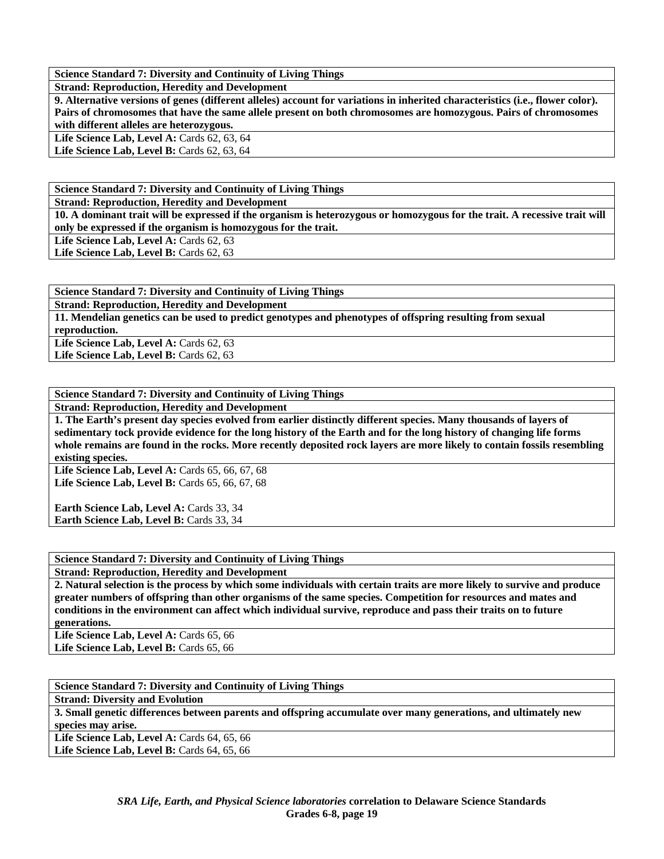**Science Standard 7: Diversity and Continuity of Living Things** 

**Strand: Reproduction, Heredity and Development** 

**9. Alternative versions of genes (different alleles) account for variations in inherited characteristics (i.e., flower color). Pairs of chromosomes that have the same allele present on both chromosomes are homozygous. Pairs of chromosomes with different alleles are heterozygous.** 

**Life Science Lab, Level A: Cards 62, 63, 64** 

**Life Science Lab, Level B:** Cards 62, 63, 64

**Science Standard 7: Diversity and Continuity of Living Things** 

**Strand: Reproduction, Heredity and Development** 

**10. A dominant trait will be expressed if the organism is heterozygous or homozygous for the trait. A recessive trait will only be expressed if the organism is homozygous for the trait.** 

Life Science Lab, Level A: Cards 62, 63

Life Science Lab, Level B: Cards 62, 63

**Science Standard 7: Diversity and Continuity of Living Things** 

**Strand: Reproduction, Heredity and Development** 

**11. Mendelian genetics can be used to predict genotypes and phenotypes of offspring resulting from sexual reproduction.** 

Life Science Lab, Level A: Cards 62, 63 Life Science Lab, Level B: Cards 62, 63

**Science Standard 7: Diversity and Continuity of Living Things** 

**Strand: Reproduction, Heredity and Development** 

**1. The Earth's present day species evolved from earlier distinctly different species. Many thousands of layers of sedimentary tock provide evidence for the long history of the Earth and for the long history of changing life forms whole remains are found in the rocks. More recently deposited rock layers are more likely to contain fossils resembling existing species.** 

Life Science Lab, Level A: Cards 65, 66, 67, 68 Life Science Lab, Level B: Cards 65, 66, 67, 68

Earth Science Lab, Level A: Cards 33, 34 Earth Science Lab, Level B: Cards 33, 34

**Science Standard 7: Diversity and Continuity of Living Things** 

**Strand: Reproduction, Heredity and Development** 

**2. Natural selection is the process by which some individuals with certain traits are more likely to survive and produce greater numbers of offspring than other organisms of the same species. Competition for resources and mates and conditions in the environment can affect which individual survive, reproduce and pass their traits on to future generations.** 

Life Science Lab, Level A: Cards 65, 66 Life Science Lab, Level B: Cards 65, 66

**Science Standard 7: Diversity and Continuity of Living Things** 

**Strand: Diversity and Evolution** 

**3. Small genetic differences between parents and offspring accumulate over many generations, and ultimately new species may arise.** 

Life Science Lab, Level A: Cards 64, 65, 66 Life Science Lab, Level B: Cards 64, 65, 66

> *SRA Life, Earth, and Physical Science laboratories* **correlation to Delaware Science Standards Grades 6-8, page 19**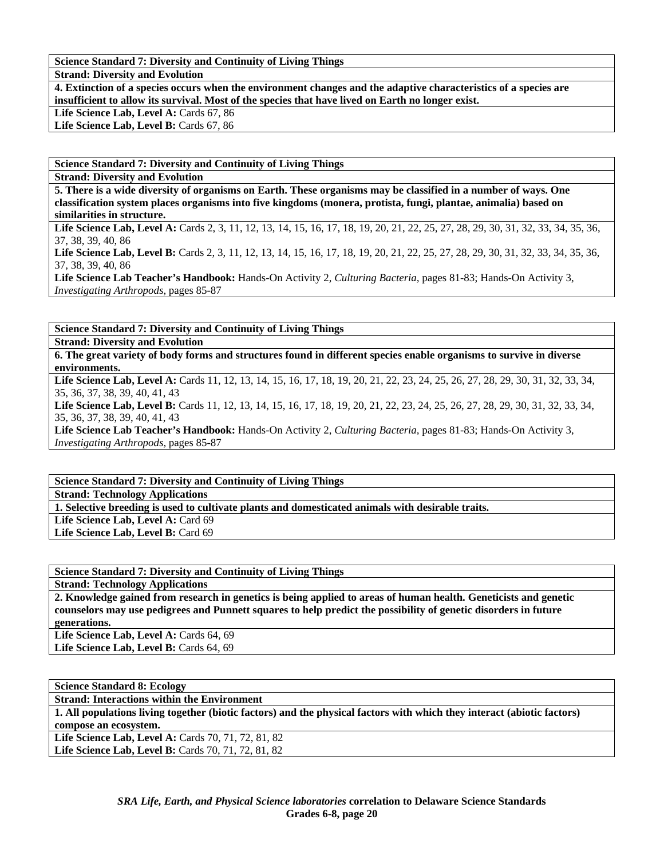## **Science Standard 7: Diversity and Continuity of Living Things**

**Strand: Diversity and Evolution** 

**4. Extinction of a species occurs when the environment changes and the adaptive characteristics of a species are insufficient to allow its survival. Most of the species that have lived on Earth no longer exist.**  Life Science Lab, Level A: Cards 67, 86

Life Science Lab, Level B: Cards 67, 86

**Science Standard 7: Diversity and Continuity of Living Things** 

**Strand: Diversity and Evolution** 

**5. There is a wide diversity of organisms on Earth. These organisms may be classified in a number of ways. One classification system places organisms into five kingdoms (monera, protista, fungi, plantae, animalia) based on similarities in structure.** 

Life Science Lab, Level A: Cards 2, 3, 11, 12, 13, 14, 15, 16, 17, 18, 19, 20, 21, 22, 25, 27, 28, 29, 30, 31, 32, 33, 34, 35, 36, 37, 38, 39, 40, 86

Life Science Lab, Level B: Cards 2, 3, 11, 12, 13, 14, 15, 16, 17, 18, 19, 20, 21, 22, 25, 27, 28, 29, 30, 31, 32, 33, 34, 35, 36, 37, 38, 39, 40, 86

**Life Science Lab Teacher's Handbook:** Hands-On Activity 2, *Culturing Bacteria,* pages 81-83; Hands-On Activity 3, *Investigating Arthropods,* pages 85-87

**Science Standard 7: Diversity and Continuity of Living Things** 

**Strand: Diversity and Evolution** 

**6. The great variety of body forms and structures found in different species enable organisms to survive in diverse environments.** 

Life Science Lab, Level A: Cards 11, 12, 13, 14, 15, 16, 17, 18, 19, 20, 21, 22, 23, 24, 25, 26, 27, 28, 29, 30, 31, 32, 33, 34, 35, 36, 37, 38, 39, 40, 41, 43

Life Science Lab, Level B: Cards 11, 12, 13, 14, 15, 16, 17, 18, 19, 20, 21, 22, 23, 24, 25, 26, 27, 28, 29, 30, 31, 32, 33, 34, 35, 36, 37, 38, 39, 40, 41, 43

**Life Science Lab Teacher's Handbook:** Hands-On Activity 2, *Culturing Bacteria,* pages 81-83; Hands-On Activity 3, *Investigating Arthropods,* pages 85-87

**Science Standard 7: Diversity and Continuity of Living Things** 

**Strand: Technology Applications** 

**1. Selective breeding is used to cultivate plants and domesticated animals with desirable traits.** 

Life Science Lab, Level A: Card 69 Life Science Lab, Level B: Card 69

**Science Standard 7: Diversity and Continuity of Living Things** 

**Strand: Technology Applications** 

**2. Knowledge gained from research in genetics is being applied to areas of human health. Geneticists and genetic counselors may use pedigrees and Punnett squares to help predict the possibility of genetic disorders in future generations.** 

Life Science Lab, Level A: Cards 64, 69 Life Science Lab, Level B: Cards 64, 69

| <b>Science Standard 8: Ecology</b>                                                                                      |
|-------------------------------------------------------------------------------------------------------------------------|
| <b>Strand: Interactions within the Environment</b>                                                                      |
| 1. All populations living together (biotic factors) and the physical factors with which they interact (abiotic factors) |
| compose an ecosystem.                                                                                                   |
| <b>Life Science Lab, Level A: Cards 70, 71, 72, 81, 82</b>                                                              |
| <b>Life Science Lab, Level B:</b> Cards 70, 71, 72, 81, 82                                                              |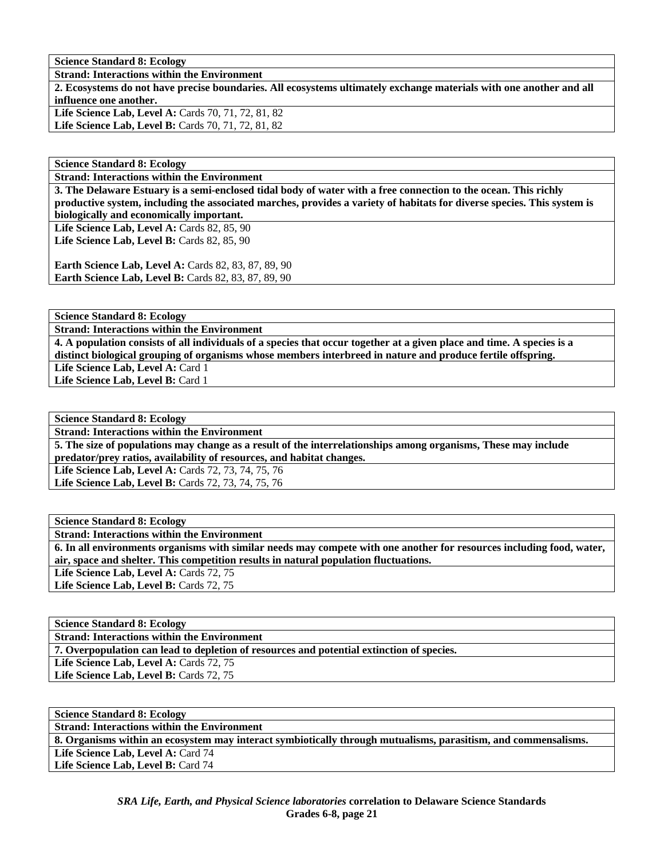**Science Standard 8: Ecology** 

**Strand: Interactions within the Environment** 

**2. Ecosystems do not have precise boundaries. All ecosystems ultimately exchange materials with one another and all influence one another.**  Life Science Lab, Level A: Cards 70, 71, 72, 81, 82

Life Science Lab, Level B: Cards 70, 71, 72, 81, 82

**Science Standard 8: Ecology** 

**Strand: Interactions within the Environment** 

**3. The Delaware Estuary is a semi-enclosed tidal body of water with a free connection to the ocean. This richly productive system, including the associated marches, provides a variety of habitats for diverse species. This system is biologically and economically important.** 

Life Science Lab, Level A: Cards 82, 85, 90 **Life Science Lab, Level B: Cards 82, 85, 90** 

**Earth Science Lab, Level A: Cards 82, 83, 87, 89, 90 Earth Science Lab, Level B: Cards 82, 83, 87, 89, 90** 

**Science Standard 8: Ecology** 

**Strand: Interactions within the Environment** 

**4. A population consists of all individuals of a species that occur together at a given place and time. A species is a distinct biological grouping of organisms whose members interbreed in nature and produce fertile offspring.**  Life Science Lab, Level A: Card 1

Life Science Lab, Level B: Card 1

**Science Standard 8: Ecology** 

**Strand: Interactions within the Environment** 

**5. The size of populations may change as a result of the interrelationships among organisms, These may include predator/prey ratios, availability of resources, and habitat changes.** 

Life Science Lab, Level A: Cards 72, 73, 74, 75, 76 Life Science Lab, Level B: Cards 72, 73, 74, 75, 76

**Science Standard 8: Ecology Strand: Interactions within the Environment 6. In all environments organisms with similar needs may compete with one another for resources including food, water, air, space and shelter. This competition results in natural population fluctuations.**  Life Science Lab, Level A: Cards 72, 75 Life Science Lab, Level B: Cards 72, 75

**Science Standard 8: Ecology Strand: Interactions within the Environment 7. Overpopulation can lead to depletion of resources and potential extinction of species.**  Life Science Lab, Level A: Cards 72, 75 Life Science Lab, Level B: Cards 72, 75

**Science Standard 8: Ecology Strand: Interactions within the Environment 8. Organisms within an ecosystem may interact symbiotically through mutualisms, parasitism, and commensalisms.**  Life Science Lab, Level A: Card 74 Life Science Lab, Level B: Card 74